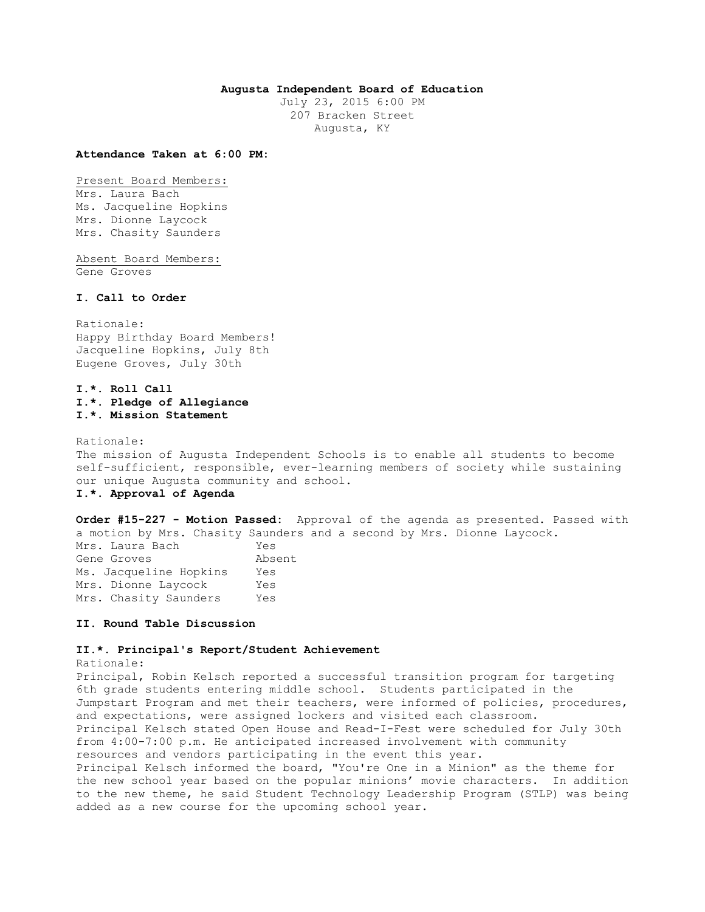# **Augusta Independent Board of Education**

July 23, 2015 6:00 PM 207 Bracken Street Augusta, KY

#### **Attendance Taken at 6:00 PM:**

Present Board Members: Mrs. Laura Bach Ms. Jacqueline Hopkins Mrs. Dionne Laycock Mrs. Chasity Saunders

Absent Board Members: Gene Groves

# **I. Call to Order**

Rationale: Happy Birthday Board Members! Jacqueline Hopkins, July 8th Eugene Groves, July 30th

# **I.\*. Roll Call I.\*. Pledge of Allegiance I.\*. Mission Statement**

Rationale: The mission of Augusta Independent Schools is to enable all students to become self-sufficient, responsible, ever-learning members of society while sustaining our unique Augusta community and school. **I.\*. Approval of Agenda** 

**Order #15-227 - Motion Passed:** Approval of the agenda as presented. Passed with a motion by Mrs. Chasity Saunders and a second by Mrs. Dionne Laycock. Mrs. Laura Bach Yes Gene Groves Absent Ms. Jacqueline Hopkins Yes Mrs. Dionne Laycock Yes Mrs. Chasity Saunders Yes

## **II. Round Table Discussion**

## **II.\*. Principal's Report/Student Achievement**

Rationale:

Principal, Robin Kelsch reported a successful transition program for targeting 6th grade students entering middle school. Students participated in the Jumpstart Program and met their teachers, were informed of policies, procedures, and expectations, were assigned lockers and visited each classroom. Principal Kelsch stated Open House and Read-I-Fest were scheduled for July 30th from 4:00-7:00 p.m. He anticipated increased involvement with community resources and vendors participating in the event this year. Principal Kelsch informed the board, "You're One in a Minion" as the theme for the new school year based on the popular minions' movie characters. In addition to the new theme, he said Student Technology Leadership Program (STLP) was being added as a new course for the upcoming school year.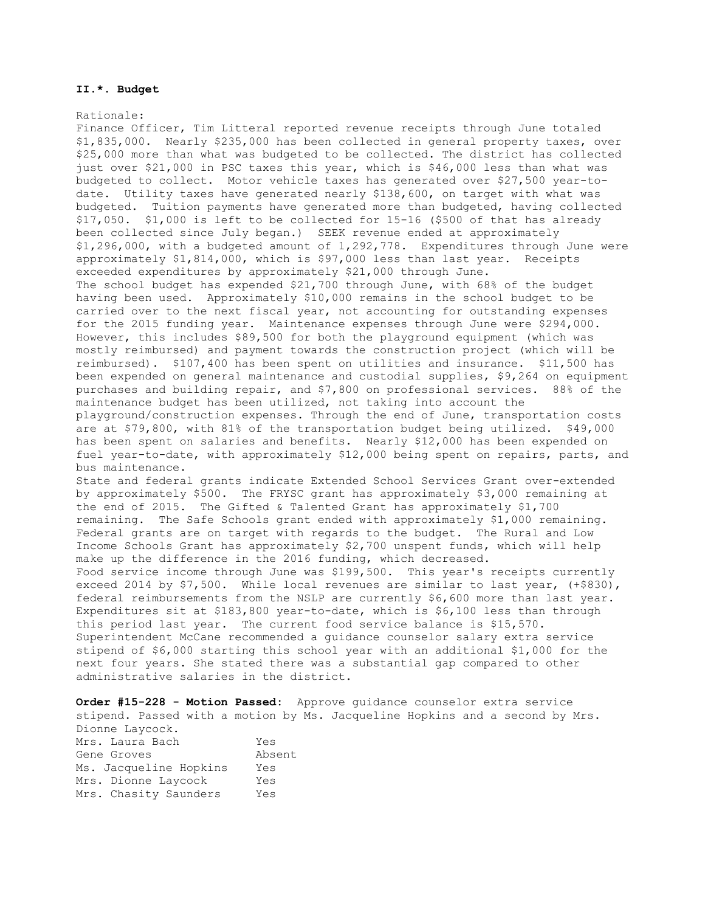## **II.\*. Budget**

#### Rationale:

Finance Officer, Tim Litteral reported revenue receipts through June totaled \$1,835,000. Nearly \$235,000 has been collected in general property taxes, over \$25,000 more than what was budgeted to be collected. The district has collected just over \$21,000 in PSC taxes this year, which is \$46,000 less than what was budgeted to collect. Motor vehicle taxes has generated over \$27,500 year-todate. Utility taxes have generated nearly \$138,600, on target with what was budgeted. Tuition payments have generated more than budgeted, having collected \$17,050. \$1,000 is left to be collected for 15-16 (\$500 of that has already been collected since July began.) SEEK revenue ended at approximately \$1,296,000, with a budgeted amount of 1,292,778. Expenditures through June were approximately \$1,814,000, which is \$97,000 less than last year. Receipts exceeded expenditures by approximately \$21,000 through June. The school budget has expended \$21,700 through June, with 68% of the budget having been used. Approximately \$10,000 remains in the school budget to be carried over to the next fiscal year, not accounting for outstanding expenses for the 2015 funding year. Maintenance expenses through June were \$294,000. However, this includes \$89,500 for both the playground equipment (which was mostly reimbursed) and payment towards the construction project (which will be reimbursed). \$107,400 has been spent on utilities and insurance. \$11,500 has been expended on general maintenance and custodial supplies, \$9,264 on equipment purchases and building repair, and \$7,800 on professional services. 88% of the maintenance budget has been utilized, not taking into account the playground/construction expenses. Through the end of June, transportation costs are at \$79,800, with 81% of the transportation budget being utilized. \$49,000 has been spent on salaries and benefits. Nearly \$12,000 has been expended on fuel year-to-date, with approximately \$12,000 being spent on repairs, parts, and bus maintenance. State and federal grants indicate Extended School Services Grant over-extended by approximately \$500. The FRYSC grant has approximately \$3,000 remaining at the end of 2015. The Gifted & Talented Grant has approximately \$1,700 remaining. The Safe Schools grant ended with approximately \$1,000 remaining. Federal grants are on target with regards to the budget. The Rural and Low Income Schools Grant has approximately \$2,700 unspent funds, which will help make up the difference in the 2016 funding, which decreased. Food service income through June was \$199,500. This year's receipts currently exceed 2014 by \$7,500. While local revenues are similar to last year, (+\$830), federal reimbursements from the NSLP are currently \$6,600 more than last year. Expenditures sit at \$183,800 year-to-date, which is \$6,100 less than through this period last year. The current food service balance is \$15,570. Superintendent McCane recommended a guidance counselor salary extra service stipend of \$6,000 starting this school year with an additional \$1,000 for the next four years. She stated there was a substantial gap compared to other administrative salaries in the district.

**Order #15-228 - Motion Passed:** Approve guidance counselor extra service stipend. Passed with a motion by Ms. Jacqueline Hopkins and a second by Mrs. Dionne Laycock. Mrs. Laura Bach Yes Gene Groves Absent Ms. Jacqueline Hopkins Yes Mrs. Dionne Laycock Yes Mrs. Chasity Saunders Yes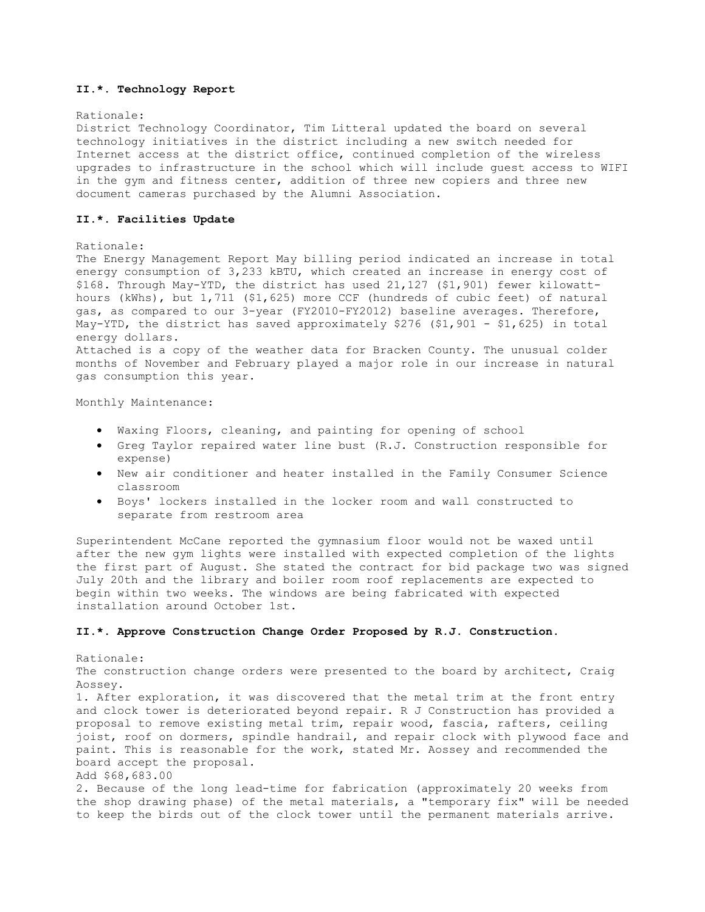# **II.\*. Technology Report**

### Rationale:

District Technology Coordinator, Tim Litteral updated the board on several technology initiatives in the district including a new switch needed for Internet access at the district office, continued completion of the wireless upgrades to infrastructure in the school which will include guest access to WIFI in the gym and fitness center, addition of three new copiers and three new document cameras purchased by the Alumni Association.

## **II.\*. Facilities Update**

### Rationale:

The Energy Management Report May billing period indicated an increase in total energy consumption of 3,233 kBTU, which created an increase in energy cost of \$168. Through May-YTD, the district has used 21,127 (\$1,901) fewer kilowatthours (kWhs), but 1,711 (\$1,625) more CCF (hundreds of cubic feet) of natural gas, as compared to our 3-year (FY2010-FY2012) baseline averages. Therefore, May-YTD, the district has saved approximately \$276 (\$1,901 - \$1,625) in total energy dollars. Attached is a copy of the weather data for Bracken County. The unusual colder months of November and February played a major role in our increase in natural gas consumption this year.

Monthly Maintenance:

- Waxing Floors, cleaning, and painting for opening of school
- Greg Taylor repaired water line bust (R.J. Construction responsible for expense)
- New air conditioner and heater installed in the Family Consumer Science classroom
- Boys' lockers installed in the locker room and wall constructed to separate from restroom area

Superintendent McCane reported the gymnasium floor would not be waxed until after the new gym lights were installed with expected completion of the lights the first part of August. She stated the contract for bid package two was signed July 20th and the library and boiler room roof replacements are expected to begin within two weeks. The windows are being fabricated with expected installation around October 1st.

## **II.\*. Approve Construction Change Order Proposed by R.J. Construction.**

Rationale: The construction change orders were presented to the board by architect, Craig Aossey. 1. After exploration, it was discovered that the metal trim at the front entry and clock tower is deteriorated beyond repair. R J Construction has provided a proposal to remove existing metal trim, repair wood, fascia, rafters, ceiling joist, roof on dormers, spindle handrail, and repair clock with plywood face and paint. This is reasonable for the work, stated Mr. Aossey and recommended the board accept the proposal. Add \$68,683.00 2. Because of the long lead-time for fabrication (approximately 20 weeks from the shop drawing phase) of the metal materials, a "temporary fix" will be needed to keep the birds out of the clock tower until the permanent materials arrive.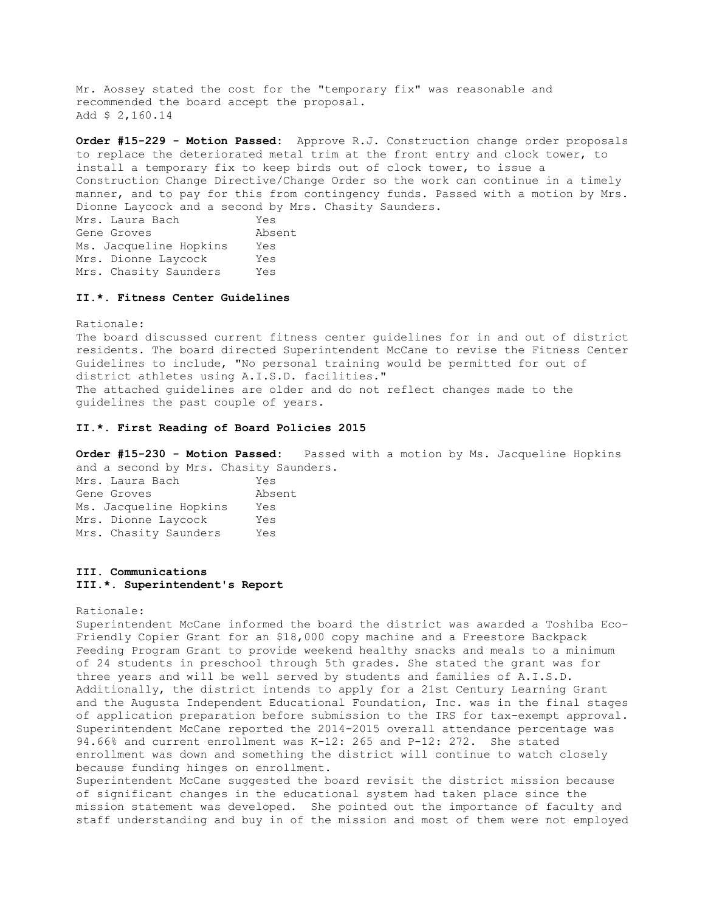Mr. Aossey stated the cost for the "temporary fix" was reasonable and recommended the board accept the proposal. Add \$ 2,160.14

**Order #15-229 - Motion Passed:** Approve R.J. Construction change order proposals to replace the deteriorated metal trim at the front entry and clock tower, to install a temporary fix to keep birds out of clock tower, to issue a Construction Change Directive/Change Order so the work can continue in a timely manner, and to pay for this from contingency funds. Passed with a motion by Mrs. Dionne Laycock and a second by Mrs. Chasity Saunders. Mrs. Laura Bach Yes Gene Groves **Absent** Ms. Jacqueline Hopkins Yes Mrs. Dionne Laycock Yes

#### **II.\*. Fitness Center Guidelines**

Mrs. Chasity Saunders Yes

Rationale: The board discussed current fitness center guidelines for in and out of district residents. The board directed Superintendent McCane to revise the Fitness Center Guidelines to include, "No personal training would be permitted for out of district athletes using A.I.S.D. facilities." The attached guidelines are older and do not reflect changes made to the guidelines the past couple of years.

#### **II.\*. First Reading of Board Policies 2015**

**Order #15-230 - Motion Passed:** Passed with a motion by Ms. Jacqueline Hopkins and a second by Mrs. Chasity Saunders.

Mrs. Laura Bach Yes Gene Groves Absent Ms. Jacqueline Hopkins Yes Mrs. Dionne Laycock Yes Mrs. Chasity Saunders Yes

# **III. Communications III.\*. Superintendent's Report**

#### Rationale:

Superintendent McCane informed the board the district was awarded a Toshiba Eco-Friendly Copier Grant for an \$18,000 copy machine and a Freestore Backpack Feeding Program Grant to provide weekend healthy snacks and meals to a minimum of 24 students in preschool through 5th grades. She stated the grant was for three years and will be well served by students and families of A.I.S.D. Additionally, the district intends to apply for a 21st Century Learning Grant and the Augusta Independent Educational Foundation, Inc. was in the final stages of application preparation before submission to the IRS for tax-exempt approval. Superintendent McCane reported the 2014-2015 overall attendance percentage was 94.66% and current enrollment was K-12: 265 and P-12: 272. She stated enrollment was down and something the district will continue to watch closely because funding hinges on enrollment.

Superintendent McCane suggested the board revisit the district mission because of significant changes in the educational system had taken place since the mission statement was developed. She pointed out the importance of faculty and staff understanding and buy in of the mission and most of them were not employed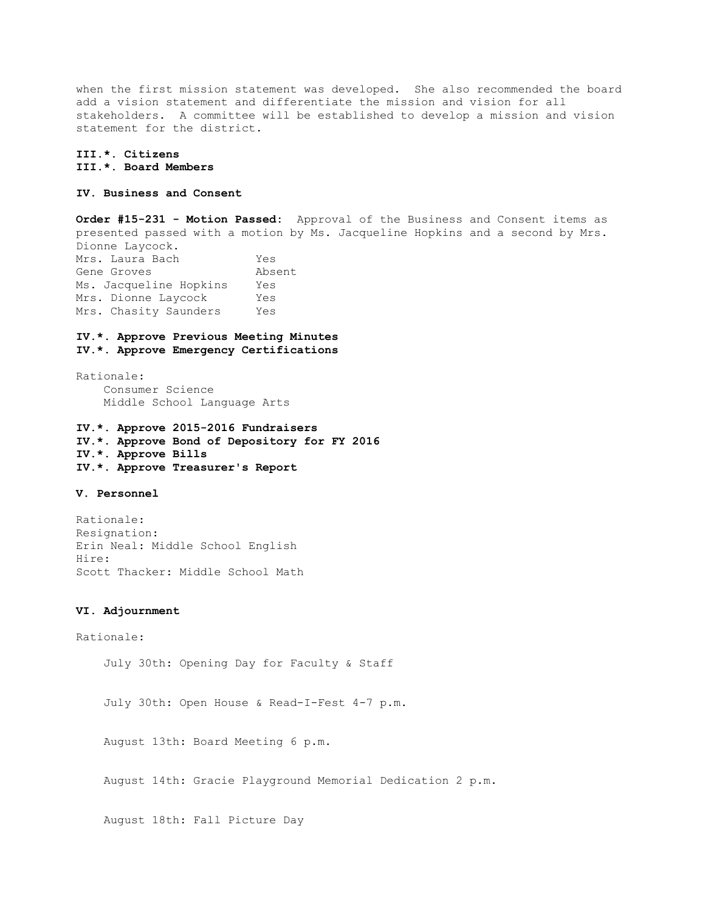when the first mission statement was developed. She also recommended the board add a vision statement and differentiate the mission and vision for all stakeholders. A committee will be established to develop a mission and vision statement for the district.

**III.\*. Citizens III.\*. Board Members** 

# **IV. Business and Consent**

**Order #15-231 - Motion Passed:** Approval of the Business and Consent items as presented passed with a motion by Ms. Jacqueline Hopkins and a second by Mrs. Dionne Laycock. Mrs. Laura Bach Yes Gene Groves **Absent** Ms. Jacqueline Hopkins Yes Mrs. Dionne Laycock Yes Mrs. Chasity Saunders Yes

# **IV.\*. Approve Previous Meeting Minutes IV.\*. Approve Emergency Certifications**

Rationale: Consumer Science Middle School Language Arts

**IV.\*. Approve 2015-2016 Fundraisers IV.\*. Approve Bond of Depository for FY 2016 IV.\*. Approve Bills IV.\*. Approve Treasurer's Report** 

# **V. Personnel**

Rationale: Resignation: Erin Neal: Middle School English Hire: Scott Thacker: Middle School Math

#### **VI. Adjournment**

Rationale: July 30th: Opening Day for Faculty & Staff July 30th: Open House & Read-I-Fest 4-7 p.m. August 13th: Board Meeting 6 p.m. August 14th: Gracie Playground Memorial Dedication 2 p.m. August 18th: Fall Picture Day